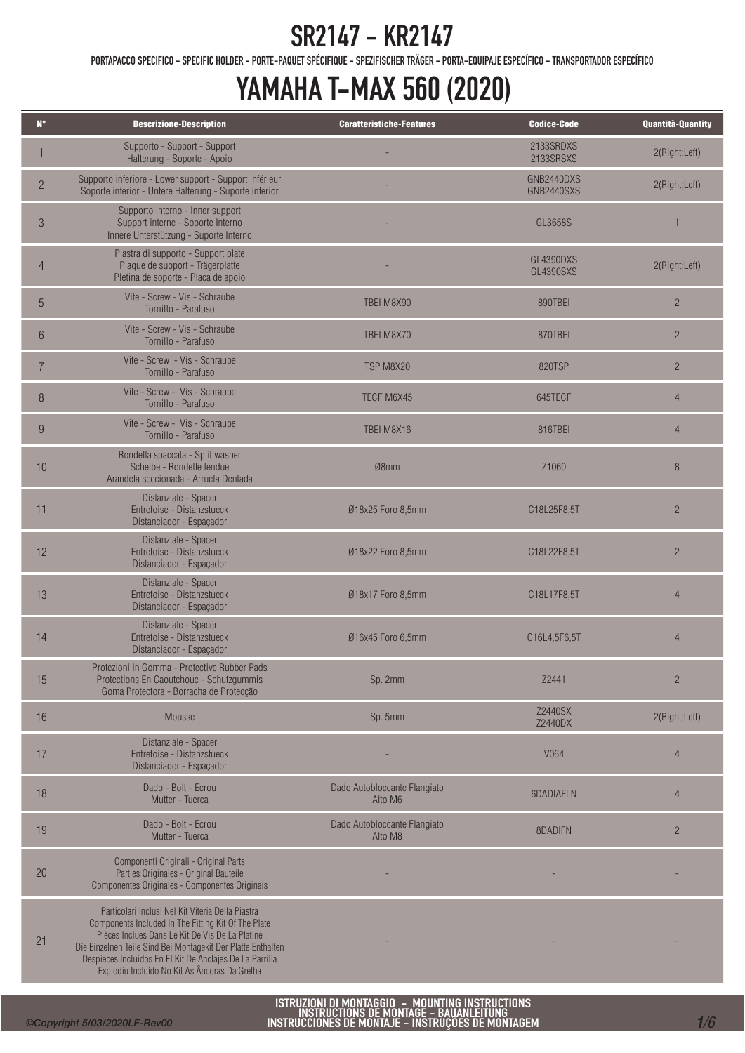PORTAPACCO SPECIFICO - SPECIFIC HOLDER - PORTE-PAQUET SPÉCIFIQUE - SPEZIFISCHER TRÄGER - PORTA-EQUIPAJE ESPECÍFICO - TRANSPORTADOR ESPECÍFICO

## YAMAHA T-MAX 560 (2020)

| $N^{\circ}$    | <b>Descrizione-Description</b>                                                                                                                                                                                                                                                                                                           | <b>Caratteristiche-Features</b>         | <b>Codice-Code</b>            | Quantità-Quantity |
|----------------|------------------------------------------------------------------------------------------------------------------------------------------------------------------------------------------------------------------------------------------------------------------------------------------------------------------------------------------|-----------------------------------------|-------------------------------|-------------------|
|                | Supporto - Support - Support<br>Halterung - Soporte - Apoio                                                                                                                                                                                                                                                                              |                                         | 2133SRDXS<br>2133SRSXS        | 2(Right;Left)     |
| $\overline{c}$ | Supporto inferiore - Lower support - Support inférieur<br>Soporte inferior - Untere Halterung - Suporte inferior                                                                                                                                                                                                                         |                                         | GNB2440DXS<br>GNB2440SXS      | 2(Right;Left)     |
| $\mathfrak{Z}$ | Supporto Interno - Inner support<br>Support interne - Soporte Interno<br>Innere Unterstützung - Suporte Interno                                                                                                                                                                                                                          |                                         | GL3658S                       | $\mathbf{1}$      |
| 4              | Piastra di supporto - Support plate<br>Plaque de support - Trägerplatte<br>Pletina de soporte - Placa de apoio                                                                                                                                                                                                                           |                                         | GL4390DXS<br><b>GL4390SXS</b> | 2(Right;Left)     |
| 5              | Vite - Screw - Vis - Schraube<br>Tornillo - Parafuso                                                                                                                                                                                                                                                                                     | TBEI M8X90                              | 890TBEI                       | $\overline{2}$    |
| $6\phantom{1}$ | Vite - Screw - Vis - Schraube<br>Tornillo - Parafuso                                                                                                                                                                                                                                                                                     | TBEI M8X70                              | 870TBEI                       | $\overline{2}$    |
| $\overline{7}$ | Vite - Screw - Vis - Schraube<br>Tornillo - Parafuso                                                                                                                                                                                                                                                                                     | TSP M8X20                               | 820TSP                        | $\overline{c}$    |
| 8              | Vite - Screw - Vis - Schraube<br>Tornillo - Parafuso                                                                                                                                                                                                                                                                                     | TECF M6X45                              | 645TECF                       | $\overline{4}$    |
| 9              | Vite - Screw - Vis - Schraube<br>Tornillo - Parafuso                                                                                                                                                                                                                                                                                     | TBEI M8X16                              | 816TBEI                       | $\overline{4}$    |
| 10             | Rondella spaccata - Split washer<br>Scheibe - Rondelle fendue<br>Arandela seccionada - Arruela Dentada                                                                                                                                                                                                                                   | Ø8mm                                    | Z1060                         | 8                 |
| 11             | Distanziale - Spacer<br>Entretoise - Distanzstueck<br>Distanciador - Espaçador                                                                                                                                                                                                                                                           | Ø18x25 Foro 8,5mm                       | C18L25F8,5T                   | $\overline{c}$    |
| 12             | Distanziale - Spacer<br>Entretoise - Distanzstueck<br>Distanciador - Espaçador                                                                                                                                                                                                                                                           | Ø18x22 Foro 8,5mm                       | C18L22F8,5T                   | $\overline{c}$    |
| 13             | Distanziale - Spacer<br>Entretoise - Distanzstueck<br>Distanciador - Espaçador                                                                                                                                                                                                                                                           | Ø18x17 Foro 8,5mm                       | C18L17F8,5T                   | $\overline{4}$    |
| 14             | Distanziale - Spacer<br>Entretoise - Distanzstueck<br>Distanciador - Espaçador                                                                                                                                                                                                                                                           | Ø16x45 Foro 6,5mm                       | C16L4,5F6,5T                  | $\overline{4}$    |
| 15             | Protezioni In Gomma - Protective Rubber Pads<br>Protections En Caoutchouc - Schutzgummis<br>Goma Protectora - Borracha de Protecção                                                                                                                                                                                                      | Sp. 2mm                                 | Z2441                         | $\overline{2}$    |
| 16             | Mousse                                                                                                                                                                                                                                                                                                                                   | Sp. 5mm                                 | Z2440SX<br>Z2440DX            | 2(Right;Left)     |
| 17             | Distanziale - Spacer<br>Entretoise - Distanzstueck<br>Distanciador - Espaçador                                                                                                                                                                                                                                                           |                                         | V064                          | $\overline{4}$    |
| 18             | Dado - Bolt - Ecrou<br>Mutter - Tuerca                                                                                                                                                                                                                                                                                                   | Dado Autobloccante Flangiato<br>Alto M6 | 6DADIAFLN                     | $\overline{4}$    |
| 19             | Dado - Bolt - Ecrou<br>Mutter - Tuerca                                                                                                                                                                                                                                                                                                   | Dado Autobloccante Flangiato<br>Alto M8 | 8DADIFN                       | $\overline{2}$    |
| 20             | Componenti Originali - Original Parts<br>Parties Originales - Original Bauteile<br>Componentes Originales - Componentes Originais                                                                                                                                                                                                        |                                         |                               |                   |
| 21             | Particolari Inclusi Nel Kit Viteria Della Piastra<br>Components Included In The Fitting Kit Of The Plate<br>Pièces Inclues Dans Le Kit De Vis De La Platine<br>Die Einzelnen Teile Sind Bei Montagekit Der Platte Enthalten<br>Despieces Incluidos En El Kit De Anclajes De La Parrilla<br>Explodiu Incluído No Kit As Âncoras Da Grelha |                                         |                               |                   |

ISTRUZIONI DI MONTAGGIO – MOUNTING INSTRUCTIONS<br>INSTRUCTIONS DE MONTAGE – BAUANLEITUNG<br>INSTRUCCIONES DE MONTAJE – INSTRUÇÕES DE MONTAGEM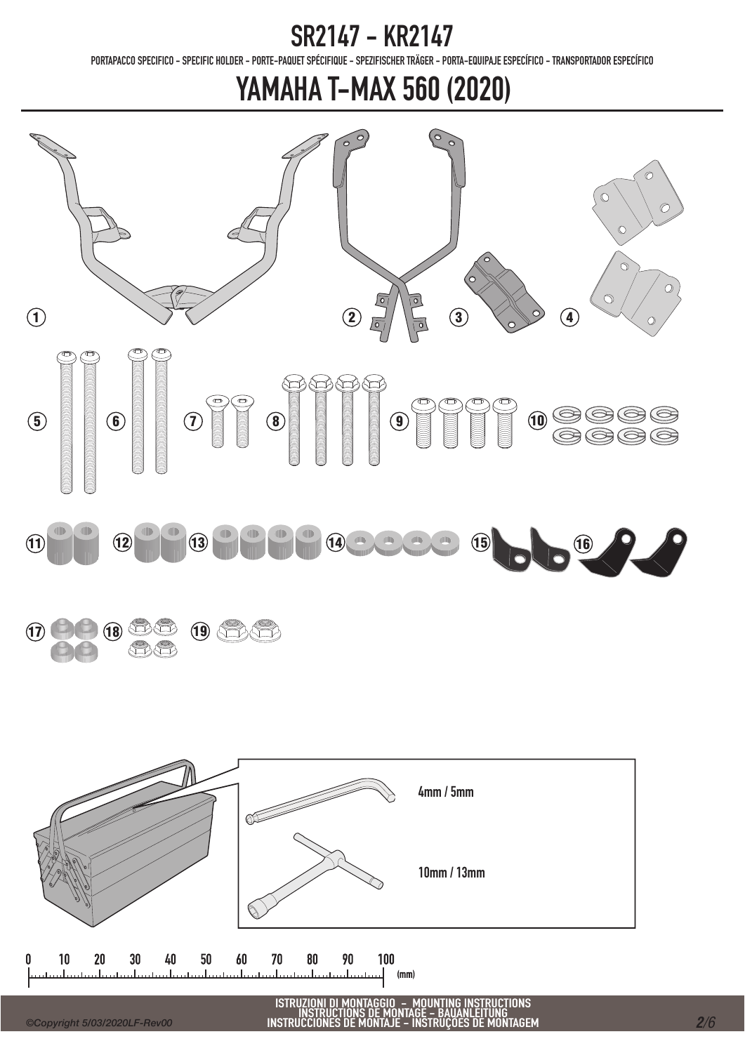PORTAPACCO SPECIFICO - SPECIFIC HOLDER - PORTE-PAQUET SPÉCIFIQUE - SPEZIFISCHER TRÄGER - PORTA-EQUIPAJE ESPECÍFICO - TRANSPORTADOR ESPECÍFICO





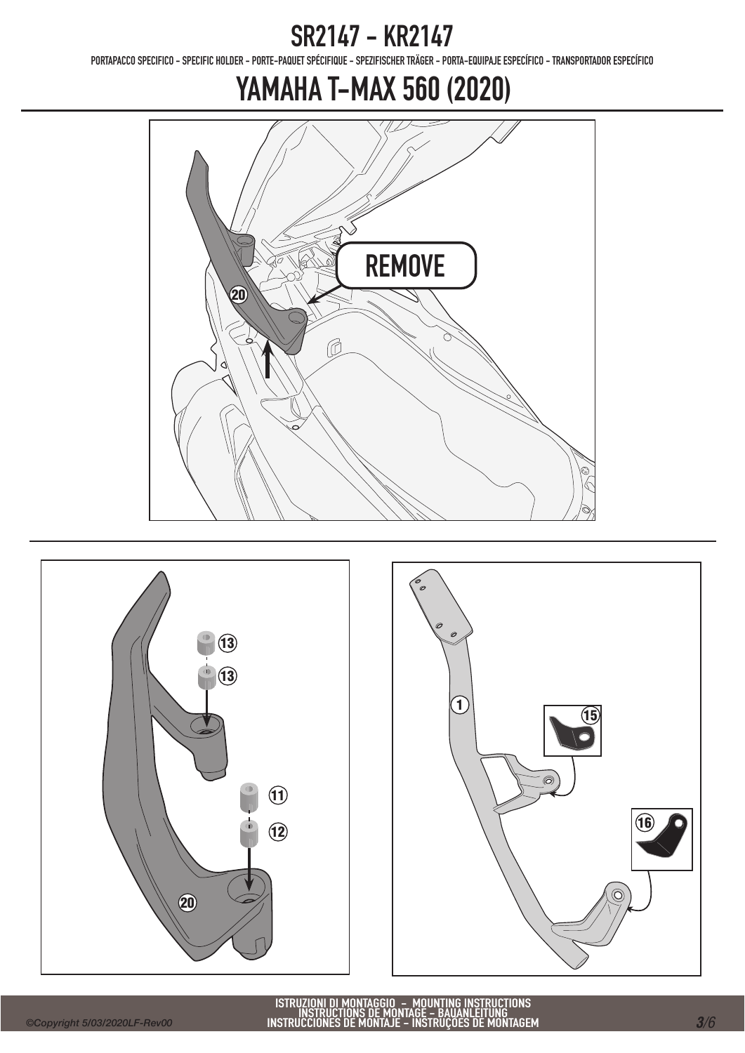PORTAPACCO SPECIFICO - SPECIFIC HOLDER - PORTE-PAQUET SPÉCIFIQUE - SPEZIFISCHER TRÄGER - PORTA-EQUIPAJE ESPECÍFICO - TRANSPORTADOR ESPECÍFICO





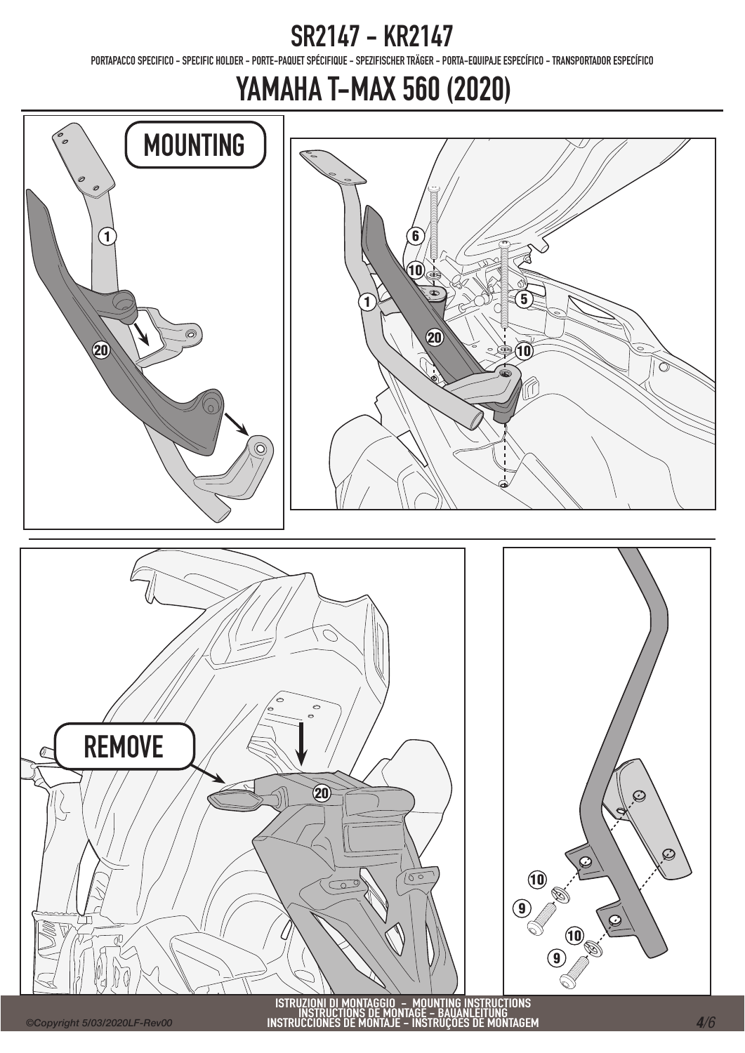PORTAPACCO SPECIFICO - SPECIFIC HOLDER - PORTE-PAQUET SPÉCIFIQUE - SPEZIFISCHER TRÄGER - PORTA-EQUIPAJE ESPECÍFICO - TRANSPORTADOR ESPECÍFICO

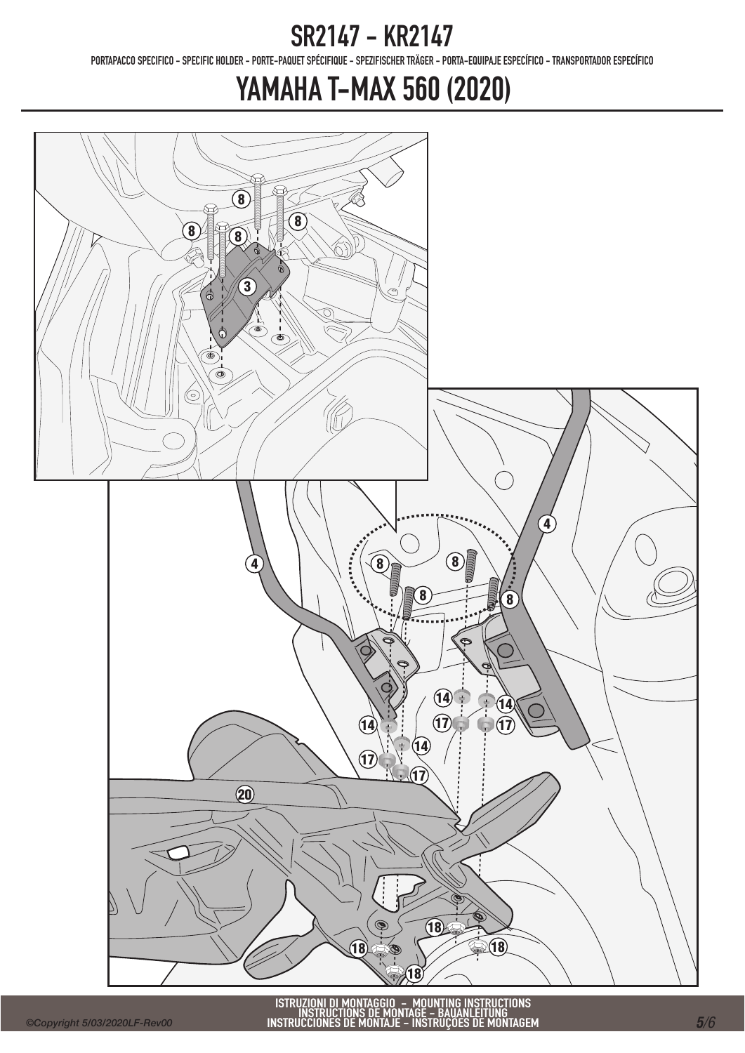PORTAPACCO SPECIFICO - SPECIFIC HOLDER - PORTE-PAQUET SPÉCIFIQUE - SPEZIFISCHER TRÄGER - PORTA-EQUIPAJE ESPECÍFICO - TRANSPORTADOR ESPECÍFICO